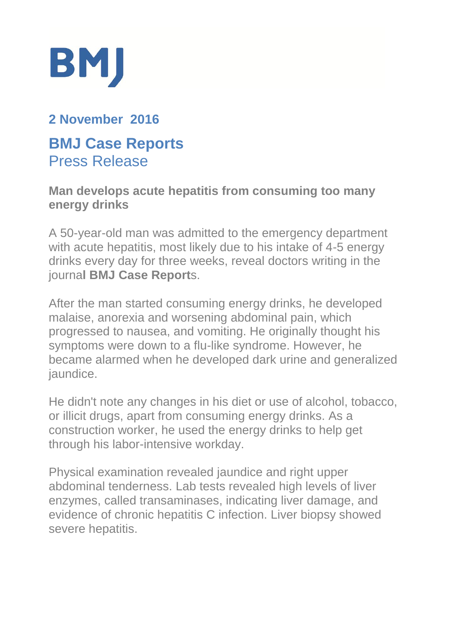

# **2 November 2016**

## **BMJ Case Reports** Press Release

#### **Man develops acute hepatitis from consuming too many energy drinks**

A 50-year-old man was admitted to the emergency department with acute hepatitis, most likely due to his intake of 4-5 energy drinks every day for three weeks, reveal doctors writing in the journa**l BMJ Case Report**s.

After the man started consuming energy drinks, he developed malaise, anorexia and worsening abdominal pain, which progressed to nausea, and vomiting. He originally thought his symptoms were down to a flu-like syndrome. However, he became alarmed when he developed dark urine and generalized jaundice.

He didn't note any changes in his diet or use of alcohol, tobacco, or illicit drugs, apart from consuming energy drinks. As a construction worker, he used the energy drinks to help get through his labor-intensive workday.

Physical examination revealed jaundice and right upper abdominal tenderness. Lab tests revealed high levels of liver enzymes, called transaminases, indicating liver damage, and evidence of chronic hepatitis C infection. Liver biopsy showed severe hepatitis.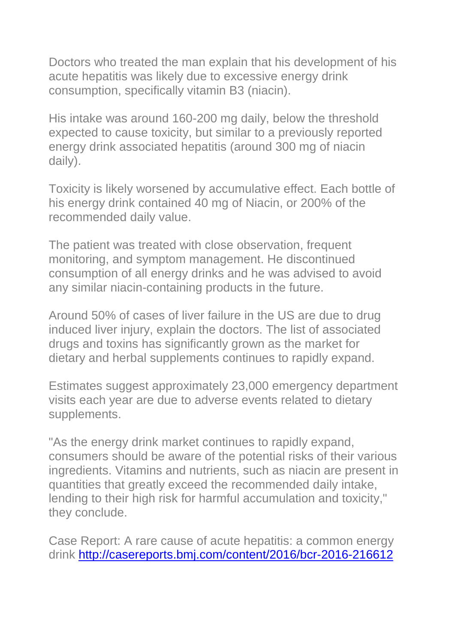Doctors who treated the man explain that his development of his acute hepatitis was likely due to excessive energy drink consumption, specifically vitamin B3 (niacin).

His intake was around 160-200 mg daily, below the threshold expected to cause toxicity, but similar to a previously reported energy drink associated hepatitis (around 300 mg of niacin daily).

Toxicity is likely worsened by accumulative effect. Each bottle of his energy drink contained 40 mg of Niacin, or 200% of the recommended daily value.

The patient was treated with close observation, frequent monitoring, and symptom management. He discontinued consumption of all energy drinks and he was advised to avoid any similar niacin-containing products in the future.

Around 50% of cases of liver failure in the US are due to drug induced liver injury, explain the doctors. The list of associated drugs and toxins has significantly grown as the market for dietary and herbal supplements continues to rapidly expand.

Estimates suggest approximately 23,000 emergency department visits each year are due to adverse events related to dietary supplements.

"As the energy drink market continues to rapidly expand, consumers should be aware of the potential risks of their various ingredients. Vitamins and nutrients, such as niacin are present in quantities that greatly exceed the recommended daily intake, lending to their high risk for harmful accumulation and toxicity," they conclude.

Case Report: A rare cause of acute hepatitis: a common energy drink <http://casereports.bmj.com/content/2016/bcr-2016-216612>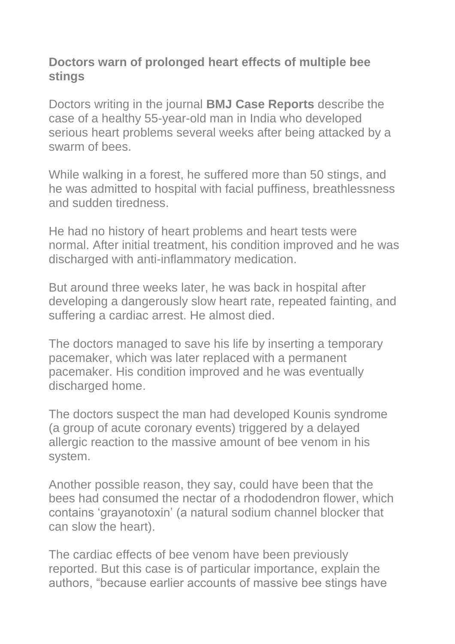### **Doctors warn of prolonged heart effects of multiple bee stings**

Doctors writing in the journal **BMJ Case Reports** describe the case of a healthy 55-year-old man in India who developed serious heart problems several weeks after being attacked by a swarm of bees.

While walking in a forest, he suffered more than 50 stings, and he was admitted to hospital with facial puffiness, breathlessness and sudden tiredness.

He had no history of heart problems and heart tests were normal. After initial treatment, his condition improved and he was discharged with anti-inflammatory medication.

But around three weeks later, he was back in hospital after developing a dangerously slow heart rate, repeated fainting, and suffering a cardiac arrest. He almost died.

The doctors managed to save his life by inserting a temporary pacemaker, which was later replaced with a permanent pacemaker. His condition improved and he was eventually discharged home.

The doctors suspect the man had developed Kounis syndrome (a group of acute coronary events) triggered by a delayed allergic reaction to the massive amount of bee venom in his system.

Another possible reason, they say, could have been that the bees had consumed the nectar of a rhododendron flower, which contains 'grayanotoxin' (a natural sodium channel blocker that can slow the heart).

The cardiac effects of bee venom have been previously reported. But this case is of particular importance, explain the authors, "because earlier accounts of massive bee stings have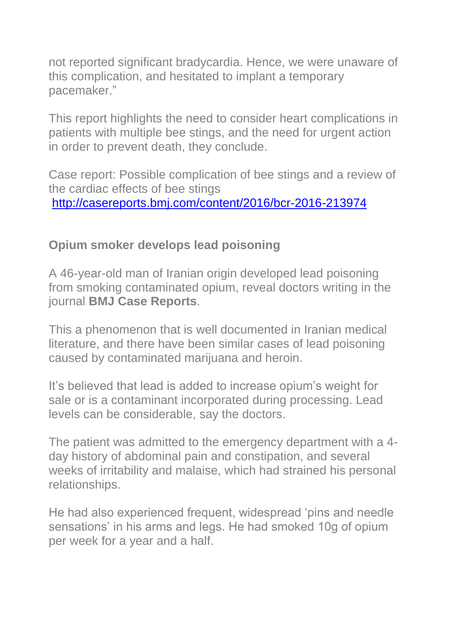not reported significant bradycardia. Hence, we were unaware of this complication, and hesitated to implant a temporary pacemaker."

This report highlights the need to consider heart complications in patients with multiple bee stings, and the need for urgent action in order to prevent death, they conclude.

Case report: Possible complication of bee stings and a review of the cardiac effects of bee stings <http://casereports.bmj.com/content/2016/bcr-2016-213974>

### **Opium smoker develops lead poisoning**

A 46-year-old man of Iranian origin developed lead poisoning from smoking contaminated opium, reveal doctors writing in the journal **BMJ Case Reports**.

This a phenomenon that is well documented in Iranian medical literature, and there have been similar cases of lead poisoning caused by contaminated marijuana and heroin.

It's believed that lead is added to increase opium's weight for sale or is a contaminant incorporated during processing. Lead levels can be considerable, say the doctors.

The patient was admitted to the emergency department with a 4 day history of abdominal pain and constipation, and several weeks of irritability and malaise, which had strained his personal relationships.

He had also experienced frequent, widespread 'pins and needle sensations' in his arms and legs. He had smoked 10g of opium per week for a year and a half.